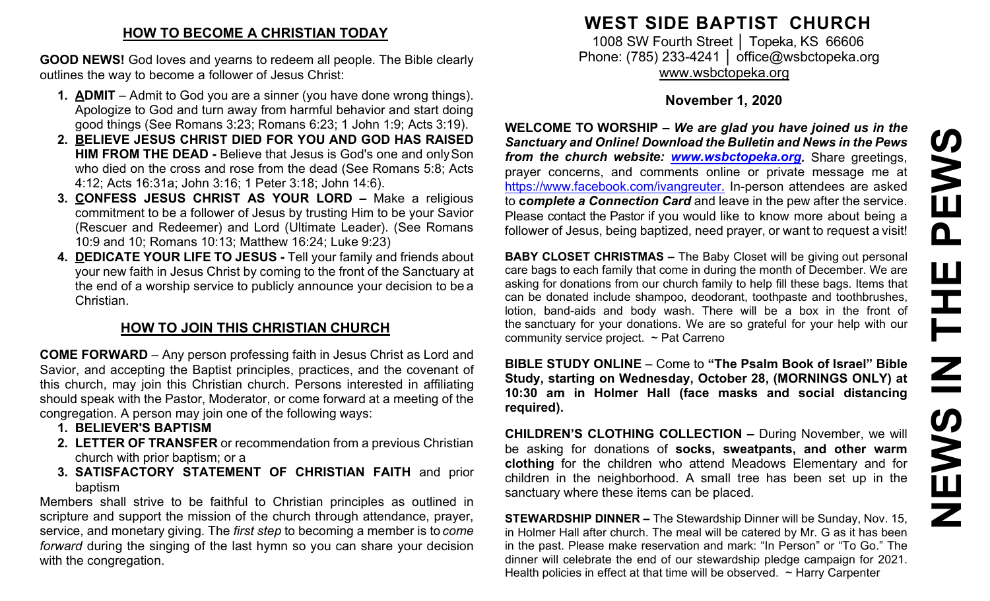### **HOW TO BECOME A CHRISTIAN TODAY**

**GOOD NEWS!** God loves and yearns to redeem all people. The Bible clearly outlines the way to become a follower of Jesus Christ:

- **1. ADMIT**  Admit to God you are a sinner (you have done wrong things). Apologize to God and turn away from harmful behavior and start doing good things (See Romans 3:23; Romans 6:23; 1 John 1:9; Acts 3:19).
- **2. BELIEVE JESUS CHRIST DIED FOR YOU AND GOD HAS RAISED HIM FROM THE DEAD -** Believe that Jesus is God's one and onlySon who died on the cross and rose from the dead (See Romans 5:8; Acts 4:12; Acts 16:31a; John 3:16; 1 Peter 3:18; John 14:6).
- **3. CONFESS JESUS CHRIST AS YOUR LORD –** Make a religious commitment to be a follower of Jesus by trusting Him to be your Savior (Rescuer and Redeemer) and Lord (Ultimate Leader). (See Romans 10:9 and 10; Romans 10:13; Matthew 16:24; Luke 9:23)
- **4. DEDICATE YOUR LIFE TO JESUS -** Tell your family and friends about your new faith in Jesus Christ by coming to the front of the Sanctuary at the end of a worship service to publicly announce your decision to be a Christian.

# **HOW TO JOIN THIS CHRISTIAN CHURCH**

**COME FORWARD** – Any person professing faith in Jesus Christ as Lord and Savior, and accepting the Baptist principles, practices, and the covenant of this church, may join this Christian church. Persons interested in affiliating should speak with the Pastor, Moderator, or come forward at a meeting of the congregation. A person may join one of the following ways:

- **1. BELIEVER'S BAPTISM**
- **2. LETTER OF TRANSFER** or recommendation from a previous Christian church with prior baptism; or a
- **3. SATISFACTORY STATEMENT OF CHRISTIAN FAITH** and prior baptism

Members shall strive to be faithful to Christian principles as outlined in scripture and support the mission of the church through attendance, prayer, service, and monetary giving. The *first step* to becoming a member is to *come forward* during the singing of the last hymn so you can share your decision with the congregation.

# **WEST SIDE BAPTIST CHURCH**

1008 SW Fourth Street | Topeka, KS 66606 Phone: (785) 233-4241 │ [office@wsbctopeka.org](mailto:office@wsbctopeka.org) [www.wsbctopeka.org](http://www.wsbctopeka.org/)

## **November 1, 2020**

**WELCOME TO WORSHIP –** *We are glad you have joined us in the Sanctuary and Online! Download the Bulletin and News in the Pews from the church website: [www.wsbctopeka.org.](http://www.wsbctopeka.org/)* Share greetings, prayer concerns, and comments online or private message me at <https://www.facebook.com/ivangreuter.> In-person attendees are asked to **c***omplete a Connection Card* and leave in the pew after the service. Please contact the Pastor if you would like to know more about being a follower of Jesus, being baptized, need prayer, or want to request a visit!

**BABY CLOSET CHRISTMAS –** The Baby Closet will be giving out personal care bags to each family that come in during the month of December. We are asking for donations from our church family to help fill these bags. Items that can be donated include shampoo, deodorant, toothpaste and toothbrushes, lotion, band-aids and body wash. There will be a box in the front of the sanctuary for your donations. We are so grateful for your help with our community service project. ~ Pat Carreno

**BIBLE STUDY ONLINE** – Come to **"The Psalm Book of Israel" Bible Study, starting on Wednesday, October 28, (MORNINGS ONLY) at 10:30 am in Holmer Hall (face masks and social distancing required).** 

**CHILDREN'S CLOTHING COLLECTION –** During November, we will be asking for donations of **socks, sweatpants, and other warm clothing** for the children who attend Meadows Elementary and for children in the neighborhood. A small tree has been set up in the sanctuary where these items can be placed.

**STEWARDSHIP DINNER –** The Stewardship Dinner will be Sunday, Nov. 15, in Holmer Hall after church. The meal will be catered by Mr. G as it has been in the past. Please make reservation and mark: "In Person" or "To Go." The dinner will celebrate the end of our stewardship pledge campaign for 2021. Health policies in effect at that time will be observed.  $\sim$  Harry Carpenter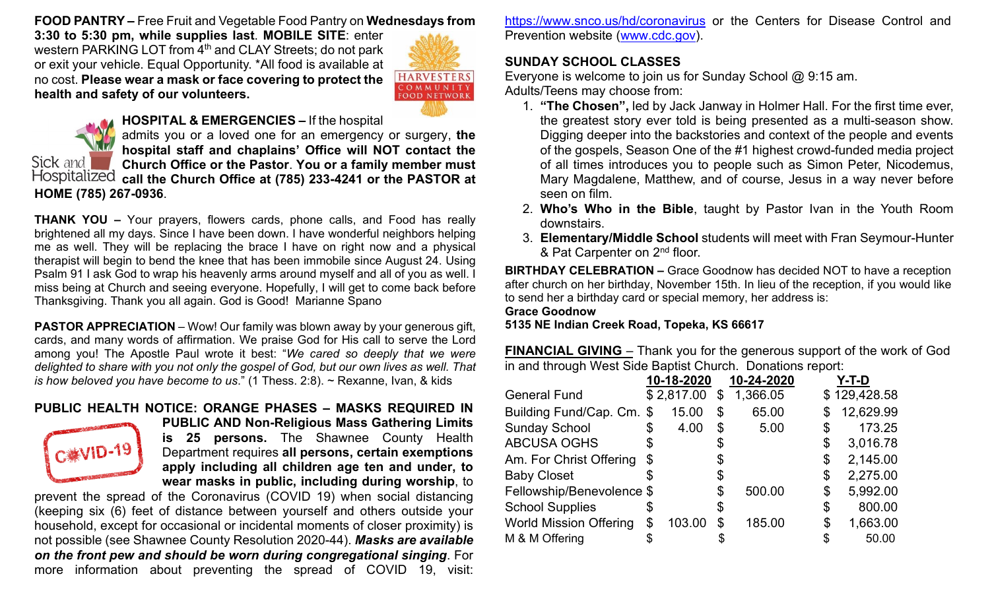**FOOD PANTRY –** Free Fruit and Vegetable Food Pantry on **Wednesdays from** 

**3:30 to 5:30 pm, while supplies last**. **MOBILE SITE**: enter western PARKING LOT from 4<sup>th</sup> and CLAY Streets; do not park or exit your vehicle. Equal Opportunity. \*All food is available at no cost. **Please wear a mask or face covering to protect the health and safety of our volunteers.**





Sick and

#### **HOSPITAL & EMERGENCIES –** If the hospital

admits you or a loved one for an emergency or surgery, **the hospital staff and chaplains' Office will NOT contact the Church Office or the Pastor**. **You or a family member must call the Church Office at (785) 233-4241 or the PASTOR at HOME (785) 267-0936**.

**THANK YOU –** Your prayers, flowers cards, phone calls, and Food has really brightened all my days. Since I have been down. I have wonderful neighbors helping me as well. They will be replacing the brace I have on right now and a physical therapist will begin to bend the knee that has been immobile since August 24. Using Psalm 91 I ask God to wrap his heavenly arms around myself and all of you as well. I miss being at Church and seeing everyone. Hopefully, I will get to come back before Thanksgiving. Thank you all again. God is Good! Marianne Spano

**PASTOR APPRECIATION** – Wow! Our family was blown away by your generous gift, cards, and many words of affirmation. We praise God for His call to serve the Lord among you! The Apostle Paul wrote it best: "*We cared so deeply that we were delighted to share with you not only the gospel of God, but our own lives as well. That is how beloved you have become to us*." (1 Thess. 2:8). ~ Rexanne, Ivan, & kids

# **PUBLIC HEALTH NOTICE: ORANGE PHASES – MASKS REQUIRED IN**



**PUBLIC AND Non-Religious Mass Gathering Limits is 25 persons.** The Shawnee County Health Department requires **all persons, certain exemptions apply including all children age ten and under, to wear masks in public, including during worship**, to

prevent the spread of the Coronavirus (COVID 19) when social distancing (keeping six (6) feet of distance between yourself and others outside your household, except for occasional or incidental moments of closer proximity) is not possible (see Shawnee County Resolution 2020-44). *Masks are available on the front pew and should be worn during congregational singing*. For more information about preventing the spread of COVID 19, visit:

<https://www.snco.us/hd/coronavirus> or the Centers for Disease Control and Prevention website [\(www.cdc.gov\)](http://www.cdc.gov/).

#### **SUNDAY SCHOOL CLASSES**

Everyone is welcome to join us for Sunday School @ 9:15 am. Adults/Teens may choose from:

- 1. **"The Chosen",** led by Jack Janway in Holmer Hall. For the first time ever, the greatest story ever told is being presented as a multi-season show. Digging deeper into the backstories and context of the people and events of the gospels, Season One of the #1 highest crowd-funded media project of all times introduces you to people such as Simon Peter, Nicodemus, Mary Magdalene, Matthew, and of course, Jesus in a way never before seen on film.
- 2. **Who's Who in the Bible**, taught by Pastor Ivan in the Youth Room downstairs.
- 3. **Elementary/Middle School** students will meet with Fran Seymour-Hunter & Pat Carpenter on 2<sup>nd</sup> floor.

**BIRTHDAY CELEBRATION –** Grace Goodnow has decided NOT to have a reception after church on her birthday, November 15th. In lieu of the reception, if you would like to send her a birthday card or special memory, her address is: **Grace Goodnow**

**5135 NE Indian Creek Road, Topeka, KS 66617**

**FINANCIAL GIVING** – Thank you for the generous support of the work of God in and through West Side Baptist Church. Donations report:

|                               | 10-18-2020 | 10-24-2020     | Y-T-D           |
|-------------------------------|------------|----------------|-----------------|
| <b>General Fund</b>           | \$2,817.00 | \$<br>1,366.05 | \$129,428.58    |
| Building Fund/Cap. Cm. \$     | 15.00      | \$<br>65.00    | \$<br>12,629.99 |
| <b>Sunday School</b>          | \$<br>4.00 | \$<br>5.00     | \$<br>173.25    |
| <b>ABCUSA OGHS</b>            |            | \$             | \$<br>3,016.78  |
| Am. For Christ Offering       | \$         | \$             | \$<br>2,145.00  |
| <b>Baby Closet</b>            |            | \$             | \$<br>2,275.00  |
| Fellowship/Benevolence \$     |            | \$<br>500.00   | \$<br>5,992.00  |
| <b>School Supplies</b>        |            | \$             | \$<br>800.00    |
| <b>World Mission Offering</b> | 103.00     | \$<br>185.00   | \$<br>1,663.00  |
| M & M Offering                |            |                | 50.00           |